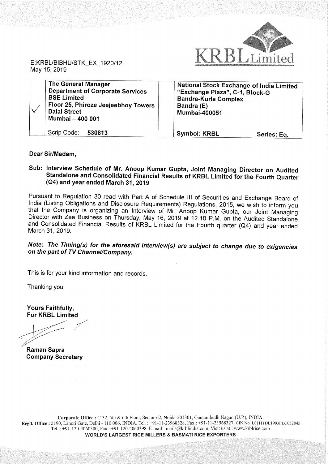

E:KRBL/BIBHU/STK\_EX\_1920/12 May 15, 2019

| <b>The General Manager</b><br><b>Department of Corporate Services</b><br><b>BSE Limited</b><br>Floor 25, Phiroze Jeejeebhoy Towers<br><b>Dalal Street</b><br>Mumbai - 400 001 | <b>National Stock Exchange of India Limited</b><br>"Exchange Plaza", C-1, Block-G<br><b>Bandra-Kurla Complex</b><br>Bandra (E)<br><b>Mumbai-400051</b> |             |
|-------------------------------------------------------------------------------------------------------------------------------------------------------------------------------|--------------------------------------------------------------------------------------------------------------------------------------------------------|-------------|
| Scrip Code:<br>530813                                                                                                                                                         | <b>Symbol: KRBL</b>                                                                                                                                    | Series: Eq. |

### Dear Sir/Madam,

## Sub: Interview Schedule of Mr. Anoop Kumar Gupta, Joint Managing Director on Audited Standalone and Consolidated Financial Results of KRBL Limited for the Fourth Quarter (Q4) and year ended March 31, 2019

Pursuant to Regulation <sup>30</sup> read with Part <sup>A</sup> of Schedule III of Securities and Exchange Board of India (Listing Obligations and Disclosure Requirements) Regulations, 2015, we wish to inform you<br>that the Company is organizing an Interview of Mr. Anoop Kumar Gupta, our Joint Managing Director with Zee Business on Thursday, May 16, 2019 at 12.10 P.M. on the Audited Standalone and Consolidated Financial Results of KRBL Limited for the Fourth quarter (Q4) and year ended March 31, 2019.

## Note: The Timing(s) for the aforesaid interview(s) are subject to change due to exigencies on the part of TV Channel/Company.

This is for your kind information and records.

Thanking you,

Yours Faithfully, For KRBL Limited

 $\ddot{\phantom{0}}$ 

Raman Sapra Company Secretary